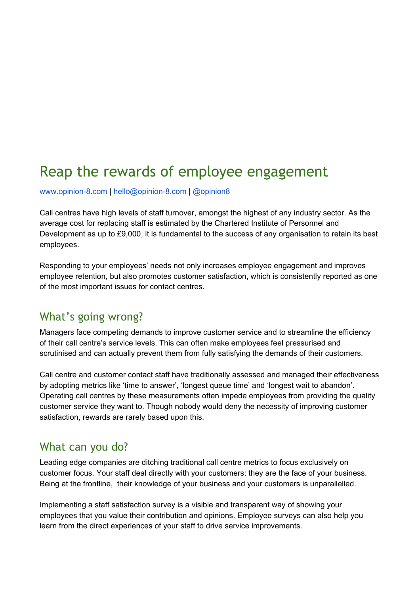# Reap the rewards of employee engagement

www.opinion-8.com | hello@opinion-8.com | [@opinion8](https://twitter.com/opinion8)

Call centres have high levels of staff turnover, amongst the highest of any industry sector. As the average cost for replacing staff is estimated by the Chartered Institute of Personnel and Development as up to £9,000, it is fundamental to the success of any organisation to retain its best employees.

Responding to your employees' needs not only increases employee engagement and improves employee retention, but also promotes customer satisfaction, which is consistently reported as one of the most important issues for contact centres.

#### What's going wrong?

Managers face competing demands to improve customer service and to streamline the efficiency of their call centre's service levels. This can often make employees feel pressurised and scrutinised and can actually prevent them from fully satisfying the demands of their customers.

Call centre and customer contact staff have traditionally assessed and managed their effectiveness by adopting metrics like 'time to answer', 'longest queue time' and 'longest wait to abandon'. Operating call centres by these measurements often impede employees from providing the quality customer service they want to. Though nobody would deny the necessity of improving customer satisfaction, rewards are rarely based upon this.

#### What can you do?

Leading edge companies are ditching traditional call centre metrics to focus exclusively on customer focus. Your staff deal directly with your customers: they are the face of your business. Being at the frontline, their knowledge of your business and your customers is unparallelled.

Implementing a staff satisfaction survey is a visible and transparent way of showing your employees that you value their contribution and opinions. Employee surveys can also help you learn from the direct experiences of your staff to drive service improvements.